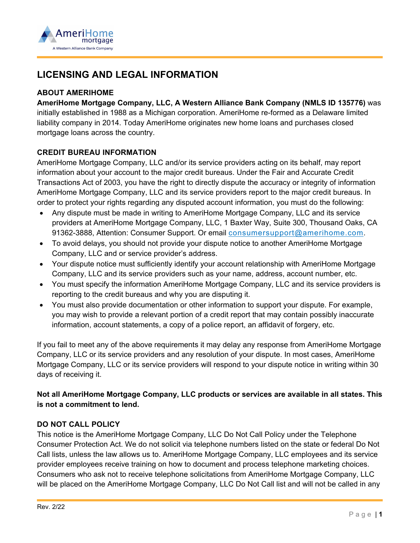

# **LICENSING AND LEGAL INFORMATION**

## **ABOUT AMERIHOME**

**AmeriHome Mortgage Company, LLC, A Western Alliance Bank Company (NMLS ID 135776)** was initially established in 1988 as a Michigan corporation. AmeriHome re-formed as a Delaware limited liability company in 2014. Today AmeriHome originates new home loans and purchases closed mortgage loans across the country.

## **CREDIT BUREAU INFORMATION**

AmeriHome Mortgage Company, LLC and/or its service providers acting on its behalf, may report information about your account to the major credit bureaus. Under the Fair and Accurate Credit Transactions Act of 2003, you have the right to directly dispute the accuracy or integrity of information AmeriHome Mortgage Company, LLC and its service providers report to the major credit bureaus. In order to protect your rights regarding any disputed account information, you must do the following:

- Any dispute must be made in writing to AmeriHome Mortgage Company, LLC and its service providers at AmeriHome Mortgage Company, LLC, 1 Baxter Way, Suite 300, Thousand Oaks, CA 91362-3888, Attention: Consumer Support. Or email [consumersupport@amerihome.com.](mailto:consumersupport@amerihome.com)
- To avoid delays, you should not provide your dispute notice to another AmeriHome Mortgage Company, LLC and or service provider's address.
- Your dispute notice must sufficiently identify your account relationship with AmeriHome Mortgage Company, LLC and its service providers such as your name, address, account number, etc.
- You must specify the information AmeriHome Mortgage Company, LLC and its service providers is reporting to the credit bureaus and why you are disputing it.
- You must also provide documentation or other information to support your dispute. For example, you may wish to provide a relevant portion of a credit report that may contain possibly inaccurate information, account statements, a copy of a police report, an affidavit of forgery, etc.

If you fail to meet any of the above requirements it may delay any response from AmeriHome Mortgage Company, LLC or its service providers and any resolution of your dispute. In most cases, AmeriHome Mortgage Company, LLC or its service providers will respond to your dispute notice in writing within 30 days of receiving it.

# **Not all AmeriHome Mortgage Company, LLC products or services are available in all states. This is not a commitment to lend.**

#### **DO NOT CALL POLICY**

This notice is the AmeriHome Mortgage Company, LLC Do Not Call Policy under the Telephone Consumer Protection Act. We do not solicit via telephone numbers listed on the state or federal Do Not Call lists, unless the law allows us to. AmeriHome Mortgage Company, LLC employees and its service provider employees receive training on how to document and process telephone marketing choices. Consumers who ask not to receive telephone solicitations from AmeriHome Mortgage Company, LLC will be placed on the AmeriHome Mortgage Company, LLC Do Not Call list and will not be called in any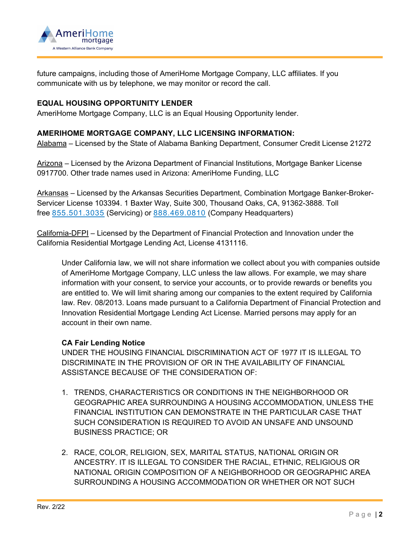

future campaigns, including those of AmeriHome Mortgage Company, LLC affiliates. If you communicate with us by telephone, we may monitor or record the call.

## **EQUAL HOUSING OPPORTUNITY LENDER**

AmeriHome Mortgage Company, LLC is an Equal Housing Opportunity lender.

#### **AMERIHOME MORTGAGE COMPANY, LLC LICENSING INFORMATION:**

Alabama – Licensed by the State of Alabama Banking Department, Consumer Credit License 21272

Arizona – Licensed by the Arizona Department of Financial Institutions, Mortgage Banker License 0917700. Other trade names used in Arizona: AmeriHome Funding, LLC

Arkansas – Licensed by the Arkansas Securities Department, Combination Mortgage Banker-Broker-Servicer License 103394. 1 Baxter Way, Suite 300, Thousand Oaks, CA, 91362-3888. Toll free [855.501.3035](tel:855-501-3035) (Servicing) or [888.469.0810](tel:888-469-0810) (Company Headquarters)

California-DFPI – Licensed by the Department of Financial Protection and Innovation under the California Residential Mortgage Lending Act, License 4131116.

Under California law, we will not share information we collect about you with companies outside of AmeriHome Mortgage Company, LLC unless the law allows. For example, we may share information with your consent, to service your accounts, or to provide rewards or benefits you are entitled to. We will limit sharing among our companies to the extent required by California law. Rev. 08/2013. Loans made pursuant to a California Department of Financial Protection and Innovation Residential Mortgage Lending Act License. Married persons may apply for an account in their own name.

#### **CA Fair Lending Notice**

UNDER THE HOUSING FINANCIAL DISCRIMINATION ACT OF 1977 IT IS ILLEGAL TO DISCRIMINATE IN THE PROVISION OF OR IN THE AVAILABILITY OF FINANCIAL ASSISTANCE BECAUSE OF THE CONSIDERATION OF:

- 1. TRENDS, CHARACTERISTICS OR CONDITIONS IN THE NEIGHBORHOOD OR GEOGRAPHIC AREA SURROUNDING A HOUSING ACCOMMODATION, UNLESS THE FINANCIAL INSTITUTION CAN DEMONSTRATE IN THE PARTICULAR CASE THAT SUCH CONSIDERATION IS REQUIRED TO AVOID AN UNSAFE AND UNSOUND BUSINESS PRACTICE; OR
- 2. RACE, COLOR, RELIGION, SEX, MARITAL STATUS, NATIONAL ORIGIN OR ANCESTRY. IT IS ILLEGAL TO CONSIDER THE RACIAL, ETHNIC, RELIGIOUS OR NATIONAL ORIGIN COMPOSITION OF A NEIGHBORHOOD OR GEOGRAPHIC AREA SURROUNDING A HOUSING ACCOMMODATION OR WHETHER OR NOT SUCH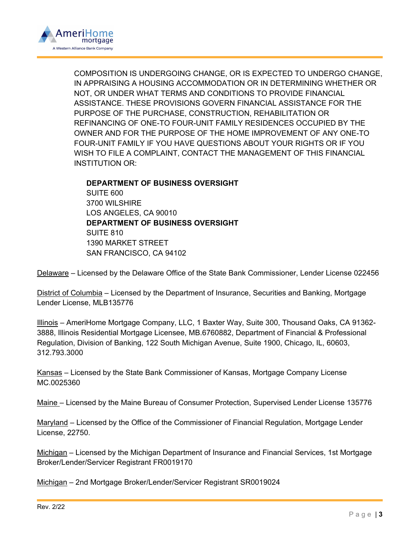

COMPOSITION IS UNDERGOING CHANGE, OR IS EXPECTED TO UNDERGO CHANGE, IN APPRAISING A HOUSING ACCOMMODATION OR IN DETERMINING WHETHER OR NOT, OR UNDER WHAT TERMS AND CONDITIONS TO PROVIDE FINANCIAL ASSISTANCE. THESE PROVISIONS GOVERN FINANCIAL ASSISTANCE FOR THE PURPOSE OF THE PURCHASE, CONSTRUCTION, REHABILITATION OR REFINANCING OF ONE-TO FOUR-UNIT FAMILY RESIDENCES OCCUPIED BY THE OWNER AND FOR THE PURPOSE OF THE HOME IMPROVEMENT OF ANY ONE-TO FOUR-UNIT FAMILY IF YOU HAVE QUESTIONS ABOUT YOUR RIGHTS OR IF YOU WISH TO FILE A COMPLAINT, CONTACT THE MANAGEMENT OF THIS FINANCIAL INSTITUTION OR:

**DEPARTMENT OF BUSINESS OVERSIGHT** SUITE 600 3700 WILSHIRE LOS ANGELES, CA 90010 **DEPARTMENT OF BUSINESS OVERSIGHT** SUITE 810 1390 MARKET STREET SAN FRANCISCO, CA 94102

Delaware – Licensed by the Delaware Office of the State Bank Commissioner, Lender License 022456

District of Columbia – Licensed by the Department of Insurance, Securities and Banking, Mortgage Lender License, MLB135776

Illinois – AmeriHome Mortgage Company, LLC, 1 Baxter Way, Suite 300, Thousand Oaks, CA 91362- 3888, Illinois Residential Mortgage Licensee, MB.6760882, Department of Financial & Professional Regulation, Division of Banking, 122 South Michigan Avenue, Suite 1900, Chicago, IL, 60603, 312.793.3000

Kansas – Licensed by the State Bank Commissioner of Kansas, Mortgage Company License MC.0025360

Maine – Licensed by the Maine Bureau of Consumer Protection, Supervised Lender License 135776

Maryland – Licensed by the Office of the Commissioner of Financial Regulation, Mortgage Lender License, 22750.

Michigan – Licensed by the Michigan Department of Insurance and Financial Services, 1st Mortgage Broker/Lender/Servicer Registrant FR0019170

Michigan – 2nd Mortgage Broker/Lender/Servicer Registrant SR0019024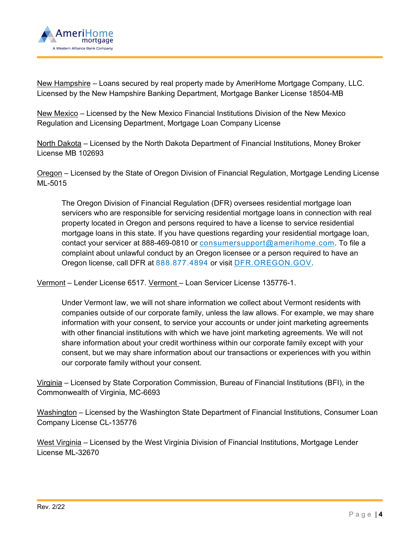

New Hampshire – Loans secured by real property made by AmeriHome Mortgage Company, LLC. Licensed by the New Hampshire Banking Department, Mortgage Banker License 18504-MB

New Mexico – Licensed by the New Mexico Financial Institutions Division of the New Mexico Regulation and Licensing Department, Mortgage Loan Company License

North Dakota – Licensed by the North Dakota Department of Financial Institutions, Money Broker License MB 102693

Oregon – Licensed by the State of Oregon Division of Financial Regulation, Mortgage Lending License ML-5015

The Oregon Division of Financial Regulation (DFR) oversees residential mortgage loan servicers who are responsible for servicing residential mortgage loans in connection with real property located in Oregon and persons required to have a license to service residential mortgage loans in this state. If you have questions regarding your residential mortgage loan, contact your servicer at 888-469-0810 or [consumersupport@amerihome.com.](mailto:consumersupport@amerihome.com) To file a complaint about unlawful conduct by an Oregon licensee or a person required to have an Oregon license, call DFR at [888.877.4894](tel:888-877-4894) or visit [DFR.OREGON.GOV.](https://dfr.oregon.gov/Pages/index.aspx)

Vermont – Lender License 6517. Vermont – Loan Servicer License 135776-1.

Under Vermont law, we will not share information we collect about Vermont residents with companies outside of our corporate family, unless the law allows. For example, we may share information with your consent, to service your accounts or under joint marketing agreements with other financial institutions with which we have joint marketing agreements. We will not share information about your credit worthiness within our corporate family except with your consent, but we may share information about our transactions or experiences with you within our corporate family without your consent.

Virginia – Licensed by State Corporation Commission, Bureau of Financial Institutions (BFI), in the Commonwealth of Virginia, MC-6693

Washington – Licensed by the Washington State Department of Financial Institutions, Consumer Loan Company License CL-135776

West Virginia – Licensed by the West Virginia Division of Financial Institutions, Mortgage Lender License ML-32670